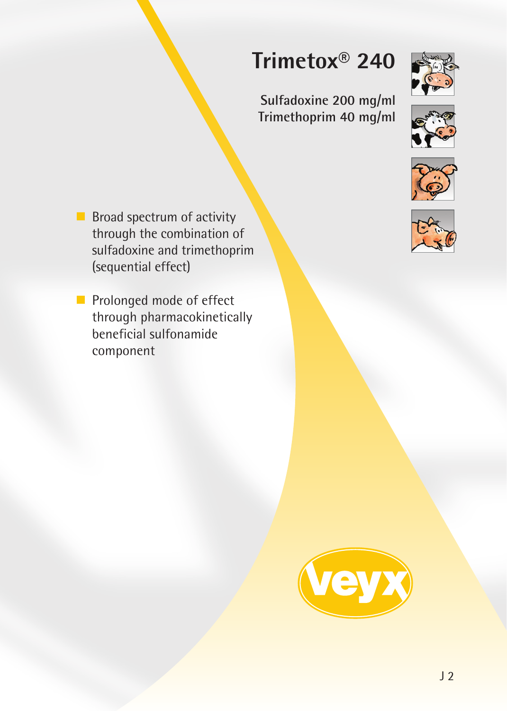# **Trimetox® 240**

**Sulfadoxine 200 mg/ml Trimethoprim 40 mg/ml**









 $\blacksquare$  Broad spectrum of activity through the combination of sulfadoxine and trimethoprim (sequential effect)

Prolonged mode of effect through pharmacokinetically beneficial sulfonamide component

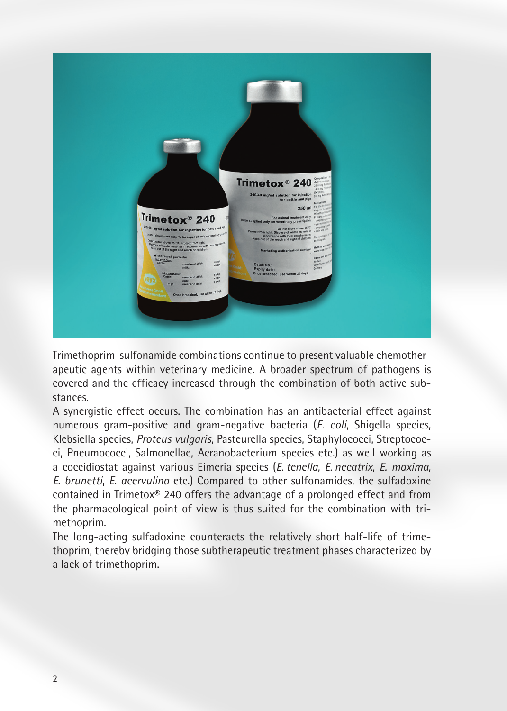

Trimethoprim-sulfonamide combinations continue to present valuable chemotherapeutic agents within veterinary medicine. A broader spectrum of pathogens is covered and the efficacy increased through the combination of both active substances.

A synergistic effect occurs. The combination has an antibacterial effect against numerous gram-positive and gram-negative bacteria (*E. coli*, Shigella species, Klebsiella species, *Proteus vulgaris*, Pasteurella species, Staphylococci, Streptococci, Pneumococci, Salmonellae, Acranobacterium species etc.) as well working as a coccidiostat against various Eimeria species (*E. tenella*, *E. necatrix*, *E. maxima*, *E. brunetti*, *E. acervulina* etc.) Compared to other sulfonamides, the sulfadoxine contained in Trimetox® 240 offers the advantage of a prolonged effect and from the pharmacological point of view is thus suited for the combination with trimethoprim.

The long-acting sulfadoxine counteracts the relatively short half-life of trimethoprim, thereby bridging those subtherapeutic treatment phases characterized by a lack of trimethoprim.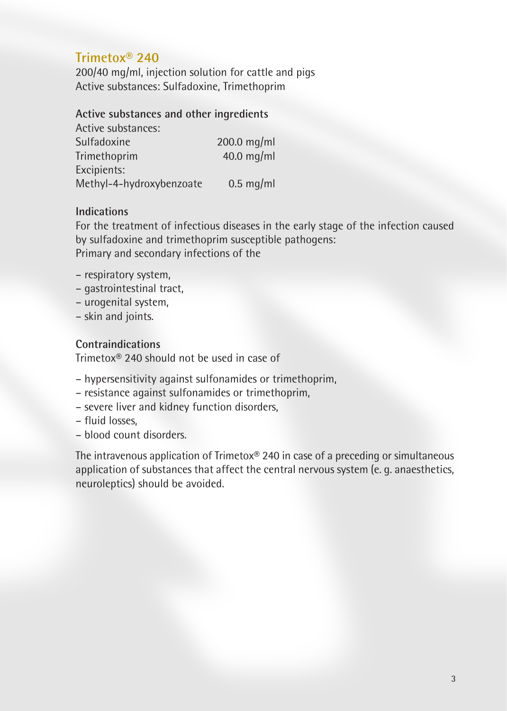# **Trimetox® 240**

200/40 mg/ml, injection solution for cattle and pigs Active substances: Sulfadoxine, Trimethoprim

# **Active substances and other ingredients**

| Active substances:       |             |
|--------------------------|-------------|
| Sulfadoxine              | 200.0 mg/ml |
| Trimethoprim             | 40.0 mg/ml  |
| Excipients:              |             |
| Methyl-4-hydroxybenzoate | $0.5$ mg/ml |

### **Indications**

For the treatment of infectious diseases in the early stage of the infection caused by sulfadoxine and trimethoprim susceptible pathogens: Primary and secondary infections of the

- respiratory system,
- gastrointestinal tract,
- urogenital system,
- skin and joints.

# **Contraindications**

Trimetox® 240 should not be used in case of

- hypersensitivity against sulfonamides or trimethoprim,
- resistance against sulfonamides or trimethoprim,
- severe liver and kidney function disorders,
- fluid losses,
- blood count disorders.

The intravenous application of Trimetox® 240 in case of a preceding or simultaneous application of substances that affect the central nervous system (e. g. anaesthetics, neuroleptics) should be avoided.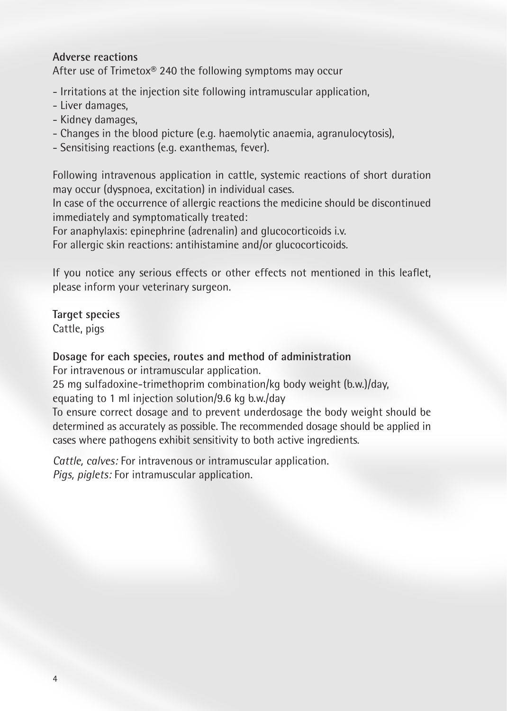## **Adverse reactions**

After use of Trimetox® 240 the following symptoms may occur

- Irritations at the injection site following intramuscular application,
- Liver damages,
- Kidney damages,
- Changes in the blood picture (e.g. haemolytic anaemia, agranulocytosis),
- Sensitising reactions (e.g. exanthemas, fever).

Following intravenous application in cattle, systemic reactions of short duration may occur (dyspnoea, excitation) in individual cases.

In case of the occurrence of allergic reactions the medicine should be discontinued immediately and symptomatically treated:

For anaphylaxis: epinephrine (adrenalin) and glucocorticoids i.v.

For allergic skin reactions: antihistamine and/or glucocorticoids.

If you notice any serious effects or other effects not mentioned in this leaflet, please inform your veterinary surgeon.

**Target species** Cattle, pigs

## **Dosage for each species, routes and method of administration**

For intravenous or intramuscular application.

25 mg sulfadoxine-trimethoprim combination/kg body weight (b.w.)/day,

equating to 1 ml injection solution/9.6 kg b.w./day

To ensure correct dosage and to prevent underdosage the body weight should be determined as accurately as possible. The recommended dosage should be applied in cases where pathogens exhibit sensitivity to both active ingredients.

*Cattle, calves:* For intravenous or intramuscular application. *Pigs, piglets:* For intramuscular application.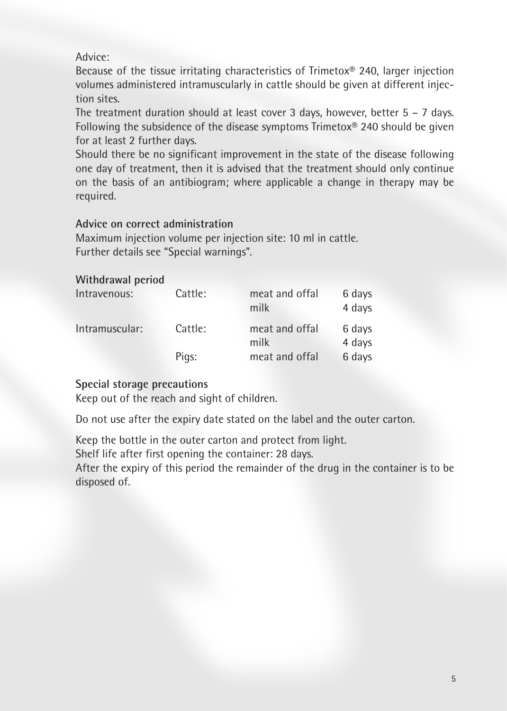# Advice:

Because of the tissue irritating characteristics of Trimetox® 240, larger injection volumes administered intramuscularly in cattle should be given at different injection sites.

The treatment duration should at least cover 3 days, however, better 5 – 7 days. Following the subsidence of the disease symptoms Trimetox® 240 should be given for at least 2 further days.

Should there be no significant improvement in the state of the disease following one day of treatment, then it is advised that the treatment should only continue on the basis of an antibiogram; where applicable a change in therapy may be required.

# **Advice on correct administration**

Maximum injection volume per injection site: 10 ml in cattle. Further details see "Special warnings".

### **Withdrawal period**

| Intravenous:   | Cattle: | meat and offal<br>milk | 6 days<br>4 days |
|----------------|---------|------------------------|------------------|
| Intramuscular: | Cattle: | meat and offal<br>milk | 6 days<br>4 days |
|                | Pigs:   | meat and offal         | 6 days           |

# **Special storage precautions**

Keep out of the reach and sight of children.

Do not use after the expiry date stated on the label and the outer carton.

Keep the bottle in the outer carton and protect from light.

Shelf life after first opening the container: 28 days.

After the expiry of this period the remainder of the drug in the container is to be disposed of.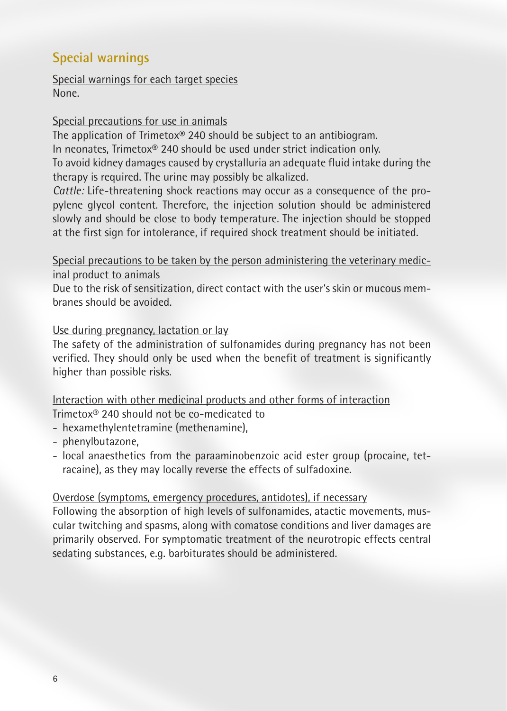# **Special warnings**

Special warnings for each target species None.

### Special precautions for use in animals

The application of Trimetox® 240 should be subject to an antibiogram. In neonates, Trimetox® 240 should be used under strict indication only. To avoid kidney damages caused by crystalluria an adequate fluid intake during the therapy is required. The urine may possibly be alkalized.

*Cattle:* Life-threatening shock reactions may occur as a consequence of the propylene glycol content. Therefore, the injection solution should be administered slowly and should be close to body temperature. The injection should be stopped at the first sign for intolerance, if required shock treatment should be initiated.

Special precautions to be taken by the person administering the veterinary medicinal product to animals

Due to the risk of sensitization, direct contact with the user's skin or mucous membranes should be avoided.

# Use during pregnancy, lactation or lay

The safety of the administration of sulfonamides during pregnancy has not been verified. They should only be used when the benefit of treatment is significantly higher than possible risks.

# Interaction with other medicinal products and other forms of interaction

Trimetox® 240 should not be co-medicated to

- hexamethylentetramine (methenamine),
- phenylbutazone,
- local anaesthetics from the paraaminobenzoic acid ester group (procaine, tetracaine), as they may locally reverse the effects of sulfadoxine.

### Overdose (symptoms, emergency procedures, antidotes), if necessary

Following the absorption of high levels of sulfonamides, atactic movements, muscular twitching and spasms, along with comatose conditions and liver damages are primarily observed. For symptomatic treatment of the neurotropic effects central sedating substances, e.g. barbiturates should be administered.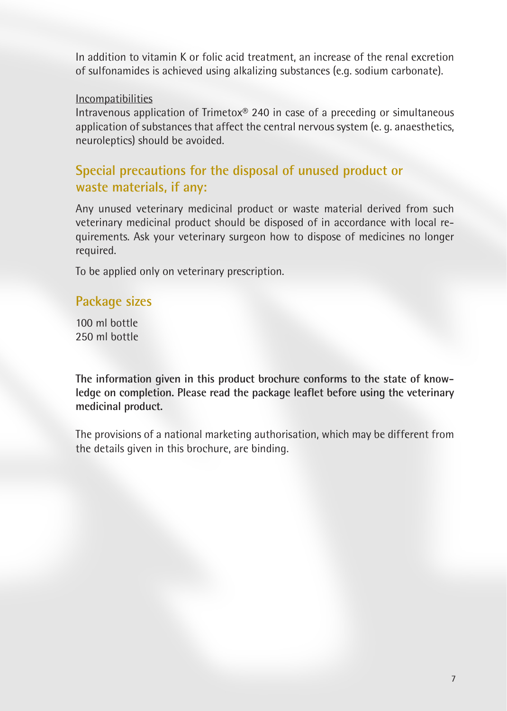In addition to vitamin K or folic acid treatment, an increase of the renal excretion of sulfonamides is achieved using alkalizing substances (e.g. sodium carbonate).

#### Incompatibilities

Intravenous application of Trimetox® 240 in case of a preceding or simultaneous application of substances that affect the central nervous system (e. g. anaesthetics, neuroleptics) should be avoided.

# **Special precautions for the disposal of unused product or waste materials, if any:**

Any unused veterinary medicinal product or waste material derived from such veterinary medicinal product should be disposed of in accordance with local requirements. Ask your veterinary surgeon how to dispose of medicines no longer required.

To be applied only on veterinary prescription.

# **Package sizes**

100 ml bottle 250 ml bottle

**The information given in this product brochure conforms to the state of knowledge on completion. Please read the package leaflet before using the veterinary medicinal product.**

The provisions of a national marketing authorisation, which may be different from the details given in this brochure, are binding.